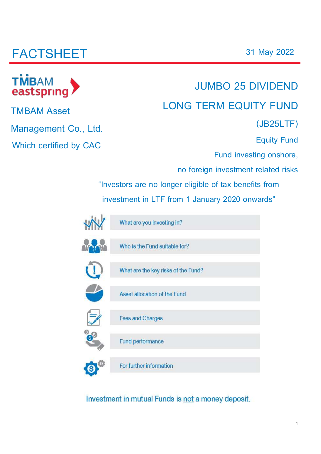# **FACTSHEET**

# **TMBAM** eastspring

**TMBAM Asset** 

**Management Co., Ltd.**

**Which certified by CAC**

# **JUMBO 25 DIVIDEND LONG TERM EQUITY FUND**

**(JB25LTF)**

**Equity Fund**

**Fund investing onshore,**

**no foreign investment related risks**

**"Investors are no longer eligible of tax benefits from** 

**investment in LTF from 1 January 2020 onwards"**

| What are you investing in?          |
|-------------------------------------|
| Who is the Fund suitable for?       |
| What are the key risks of the Fund? |
| Asset allocation of the Fund        |
| <b>Fees and Charges</b>             |
| Fund performance                    |
| For further information             |

Investment in mutual Funds is not a money deposit.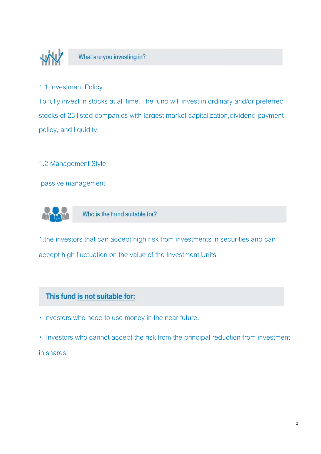

### What are you investing in?

#### 1.1 Investment Policy

To fully invest in stocks at all time. The fund will invest in ordinary and/or preferred stocks of 25 listed companies with largest market capitalization,dividend payment policy, and liquidity.

#### 1.2 Management Style

passive management



Who is the Fund suitable for?

1.the investors that can accept high risk from investments in securities and can accept high fluctuation on the value of the Investment Units

### This fund is not suitable for:

• Investors who need to use money in the near future.

• Investors who cannot accept the risk from the principal reduction from investment in shares.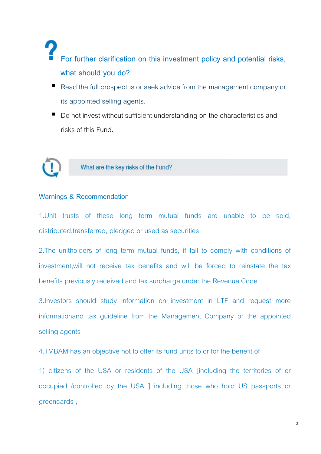# **For further clarification on this investment policy and potential risks, what should you do?**

- Read the full prospectus or seek advice from the management company or its appointed selling agents.
- Do not invest without sufficient understanding on the characteristics and risks of this Fund.



### What are the key risks of the Fund?

#### **Warnings & Recommendation**

1.Unit trusts of these long term mutual funds are unable to be sold, distributed,transferred, pledged or used as securities

2.The unitholders of long term mutual funds, if fail to comply with conditions of investment,will not receive tax benefits and will be forced to reinstate the tax benefits previously received and tax surcharge under the Revenue Code.

3.Investors should study information on investment in LTF and request more informationand tax guideline from the Management Company or the appointed selling agents

4.TMBAM has an objective not to offer its fund units to or for the benefit of

1) citizens of the USA or residents of the USA [including the territories of or occupied /controlled by the USA ] including those who hold US passports or greencards ,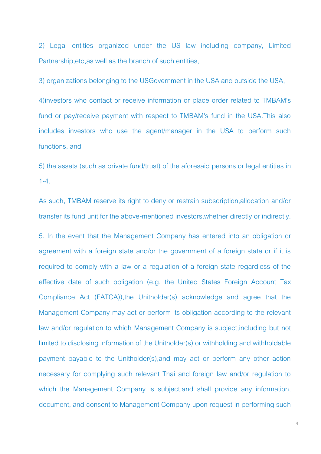2) Legal entities organized under the US law including company, Limited Partnership,etc,as well as the branch of such entities,

3) organizations belonging to the USGovernment in the USA and outside the USA,

4)investors who contact or receive information or place order related to TMBAM's fund or pay/receive payment with respect to TMBAM's fund in the USA.This also includes investors who use the agent/manager in the USA to perform such functions, and

5) the assets (such as private fund/trust) of the aforesaid persons or legal entities in  $1 - 4$ 

As such, TMBAM reserve its right to deny or restrain subscription,allocation and/or transfer its fund unit for the above-mentioned investors,whether directly or indirectly.

5. In the event that the Management Company has entered into an obligation or agreement with a foreign state and/or the government of a foreign state or if it is required to comply with a law or a regulation of a foreign state regardless of the effective date of such obligation (e.g. the United States Foreign Account Tax Compliance Act (FATCA)),the Unitholder(s) acknowledge and agree that the Management Company may act or perform its obligation according to the relevant law and/or regulation to which Management Company is subject,including but not limited to disclosing information of the Unitholder(s) or withholding and withholdable payment payable to the Unitholder(s),and may act or perform any other action necessary for complying such relevant Thai and foreign law and/or regulation to which the Management Company is subject,and shall provide any information, document, and consent to Management Company upon request in performing such

4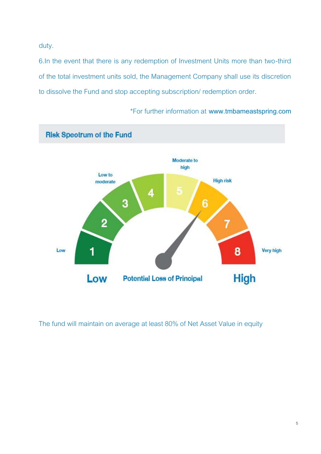duty.

6.In the event that there is any redemption of Investment Units more than two-third of the total investment units sold, the Management Company shall use its discretion to dissolve the Fund and stop accepting subscription/ redemption order.



\*For further information at **www.tmbameastspring.com**

The fund will maintain on average at least 80% of Net Asset Value in equity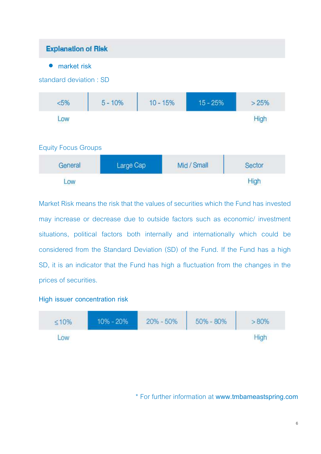### **Explanation of Risk**

• **market risk**

| standard deviation: SD     |           |            |            |      |
|----------------------------|-----------|------------|------------|------|
| < 5%                       | $5 - 10%$ | $10 - 15%$ | $15 - 25%$ | >25% |
| Low                        |           |            |            |      |
| <b>Equity Focus Groups</b> |           |            |            |      |
|                            |           |            |            |      |



Market Risk means the risk that the values of securities which the Fund has invested may increase or decrease due to outside factors such as economic/ investment situations, political factors both internally and internationally which could be considered from the Standard Deviation (SD) of the Fund. If the Fund has a high SD, it is an indicator that the Fund has high a fluctuation from the changes in the prices of securities.

### **High issuer concentration risk**



\* For further information at **www.tmbameastspring.com**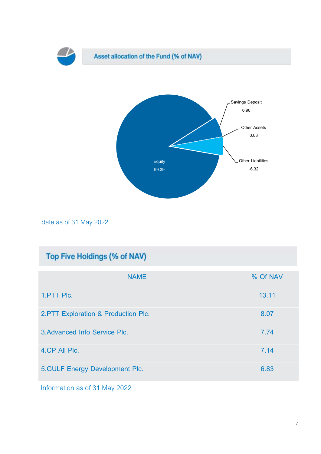

date as of 31 May 2022

## Top Five Holdings (% of NAV)

| <b>NAME</b>                          | % Of NAV |
|--------------------------------------|----------|
| 1.PTT Plc.                           | 13.11    |
| 2. PTT Exploration & Production Plc. | 8.07     |
| 3. Advanced Info Service Plc.        | 7.74     |
| 4.CP All Plc.                        | 7.14     |
| 5. GULF Energy Development Plc.      | 6.83     |

Information as of 31 May 2022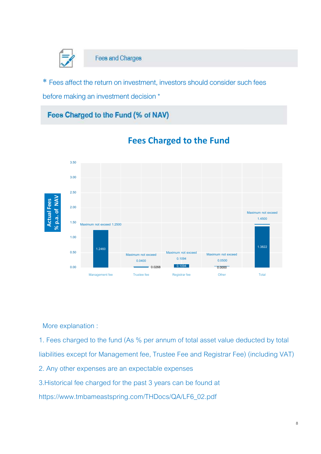

\* Fees affect the return on investment, investors should consider such fees

before making an investment decision \*

### Fees Charged to the Fund (% of NAV)



## **Fees Charged to the Fund**

More explanation :

1. Fees charged to the fund (As % per annum of total asset value deducted by total liabilities except for Management fee, Trustee Fee and Registrar Fee) (including VAT) 2. Any other expenses are an expectable expenses

3.Historical fee charged for the past 3 years can be found at

https://www.tmbameastspring.com/THDocs/QA/LF6\_02.pdf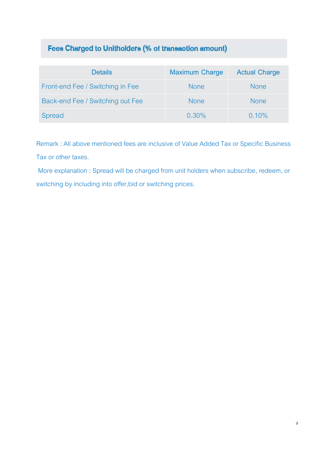## Fees Charged to Unitholders (% of transaction amount)

| <b>Details</b>                   | <b>Maximum Charge</b> | <b>Actual Charge</b> |
|----------------------------------|-----------------------|----------------------|
| Front-end Fee / Switching in Fee | <b>None</b>           | <b>None</b>          |
| Back-end Fee / Switching out Fee | <b>None</b>           | <b>None</b>          |
| Spread                           | $0.30\%$              | 0.10%                |

Remark : All above mentioned fees are inclusive of Value Added Tax or Specific Business Tax or other taxes.

More explanation : Spread will be charged from unit holders when subscribe, redeem, or switching by including into offer,bid or switching prices.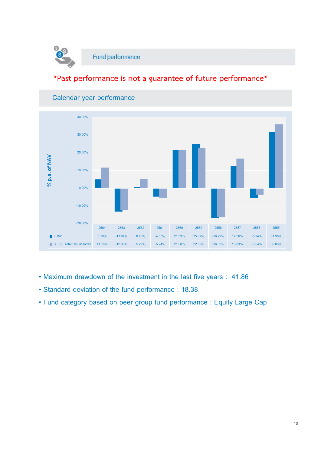

### **\*Past performance is not a guarantee of future performance\***



#### **Calendar year performance**

- **Maximum drawdown of the investment in the last five years : -41.86**
- **Standard deviation of the fund performance : 18.38**
- **Fund category based on peer group fund performance : Equity Large Cap**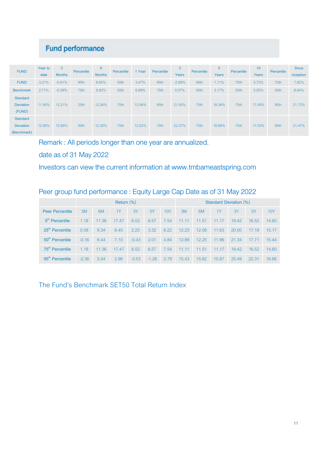## **Fund performance**

| <b>FUND</b>                                        | Year to<br>date | 3<br><b>Months</b> | Percentile | 6<br><b>Months</b> | Percentile | 1 Year | Percentile | 3<br>Years | Percentile | 5<br>Years | Percentile | 10<br>Years | Percentile | <b>Since</b><br>inception |
|----------------------------------------------------|-----------------|--------------------|------------|--------------------|------------|--------|------------|------------|------------|------------|------------|-------------|------------|---------------------------|
| <b>FUND</b>                                        | 3.21%           | $-0.91%$           | 95th       | 8.65%              | 50th       | 3.47%  | 95th       | $-2.89%$   | 95th       | 1.11%      | 75th       | 3.73%       | 75th       | 7.82%                     |
| <b>Benchmark</b>                                   | 2.71%           | $-0.39%$           | 75th       | 8.82%              | 50th       | 6.89%  | 75th       | 0.37%      | 50th       | 3.17%      | 50th       | 5.55%       | 50th       | 8.64%                     |
| <b>Standard</b><br><b>Deviation</b><br>(FUND)      | 11.95%          | 12.21%             | 25th       | 12.26%             | 75th       | 12.56% | 95th       | 21.93%     | 75th       | 18.38%     | 75th       | 17.49%      | 95th       | 21.72%                    |
| <b>Standard</b><br><b>Deviation</b><br>(Benchmark) | 12.06%          | 12.69%             | 50th       | 12.30%             | 75th       | 12.02% | 75th       | 22.37%     | 75th       | 18.68%     | 75th       | 17.52%      | 95th       | 21.47%                    |

Remark : All periods longer than one year are annualized.

date as of 31 May 2022

Investors can view the current information at www.tmbameastspring.com

### Peer group fund performance : Equity Large Cap Date as of 31 May 2022

|                             | Return $(\%)$ |       |       |         |         |      |       | Standard Deviation (%) |       |       |           |            |
|-----------------------------|---------------|-------|-------|---------|---------|------|-------|------------------------|-------|-------|-----------|------------|
| <b>Peer Percentile</b>      | 3M            | 6M    | 1Y    | 3Y      | 5Y      | 10Y  | 3M    | 6M                     | 1Y    | 3Y    | <b>5Y</b> | <b>10Y</b> |
| $5th$ Percentile            | 1.18          | 11.36 | 17.47 | 6.52    | 6.57    | 7.54 | 11.11 | 11.51                  | 11.17 | 19.42 | 16.52     | 14.60      |
| 25 <sup>th</sup> Percentile | 0.58          | 9.34  | 8.45  | 2.25    | 3.32    | 6.22 | 12.23 | 12.08                  | 11.63 | 20.00 | 17.18     | 15.17      |
| 50 <sup>th</sup> Percentile | $-0.16$       | 8.44  | 7.10  | $-0.43$ | 2.01    | 4.84 | 12.89 | 12.25                  | 11.96 | 21.34 | 17.71     | 15.44      |
| 75 <sup>th</sup> Percentile | 1.18          | 11.36 | 17.47 | 6.52    | 6.57    | 7.54 | 11.11 | 11.51                  | 11.17 | 19.42 | 16.52     | 14.60      |
| $95th$ Percentile           | $-2.36$       | 5.04  | 2.96  | $-3.53$ | $-1.26$ | 2.79 | 15.43 | 15.62                  | 15.87 | 25.49 | 22.31     | 16.66      |

The Fund's Benchmark SET50 Total Return Index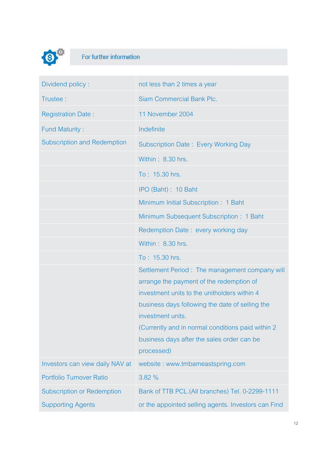

# For further information

| Dividend policy:                   | not less than 2 times a year                        |
|------------------------------------|-----------------------------------------------------|
| Trustee:                           | <b>Siam Commercial Bank Plc.</b>                    |
| <b>Registration Date:</b>          | 11 November 2004                                    |
| <b>Fund Maturity:</b>              | Indefinite                                          |
| <b>Subscription and Redemption</b> | Subscription Date: Every Working Day                |
|                                    | Within: 8.30 hrs.                                   |
|                                    | To: 15.30 hrs.                                      |
|                                    | IPO (Baht): 10 Baht                                 |
|                                    | Minimum Initial Subscription: 1 Baht                |
|                                    | Minimum Subsequent Subscription: 1 Baht             |
|                                    | Redemption Date: every working day                  |
|                                    | Within: 8.30 hrs.                                   |
|                                    | To: 15.30 hrs.                                      |
|                                    | Settlement Period: The management company will      |
|                                    | arrange the payment of the redemption of            |
|                                    | investment units to the unitholders within 4        |
|                                    | business days following the date of selling the     |
|                                    | investment units.                                   |
|                                    | (Currently and in normal conditions paid within 2)  |
|                                    | business days after the sales order can be          |
|                                    | processed)                                          |
| Investors can view daily NAV at    | website: www.tmbameastspring.com                    |
| <b>Portfolio Turnover Ratio</b>    | 3.82 %                                              |
| <b>Subscription or Redemption</b>  | Bank of TTB PCL.(All branches) Tel. 0-2299-1111     |
| <b>Supporting Agents</b>           | or the appointed selling agents. Investors can Find |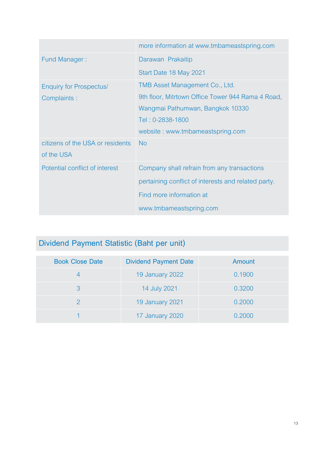|                                                | more information at www.tmbameastspring.com         |
|------------------------------------------------|-----------------------------------------------------|
| <b>Fund Manager:</b>                           | Darawan Prakaitip                                   |
|                                                | Start Date 18 May 2021                              |
| <b>Enquiry for Prospectus/</b>                 | TMB Asset Management Co., Ltd.                      |
| Complaints:                                    | 9th floor, Mitrtown Office Tower 944 Rama 4 Road,   |
|                                                | Wangmai Pathumwan, Bangkok 10330                    |
|                                                | Tel: 0-2838-1800                                    |
|                                                | website: www.tmbameastspring.com                    |
| citizens of the USA or residents<br>of the USA | <b>No</b>                                           |
| Potential conflict of interest                 | Company shall refrain from any transactions         |
|                                                | pertaining conflict of interests and related party. |
|                                                | Find more information at                            |
|                                                | www.tmbameastspring.com                             |

## **Dividend Payment Statistic (Baht per unit)**

| <b>Book Close Date</b> | <b>Dividend Payment Date</b> | Amount |
|------------------------|------------------------------|--------|
|                        | 19 January 2022              | 0.1900 |
| 3                      | 14 July 2021                 | 0.3200 |
|                        | 19 January 2021              | 0.2000 |
|                        | 17 January 2020              | 0.2000 |